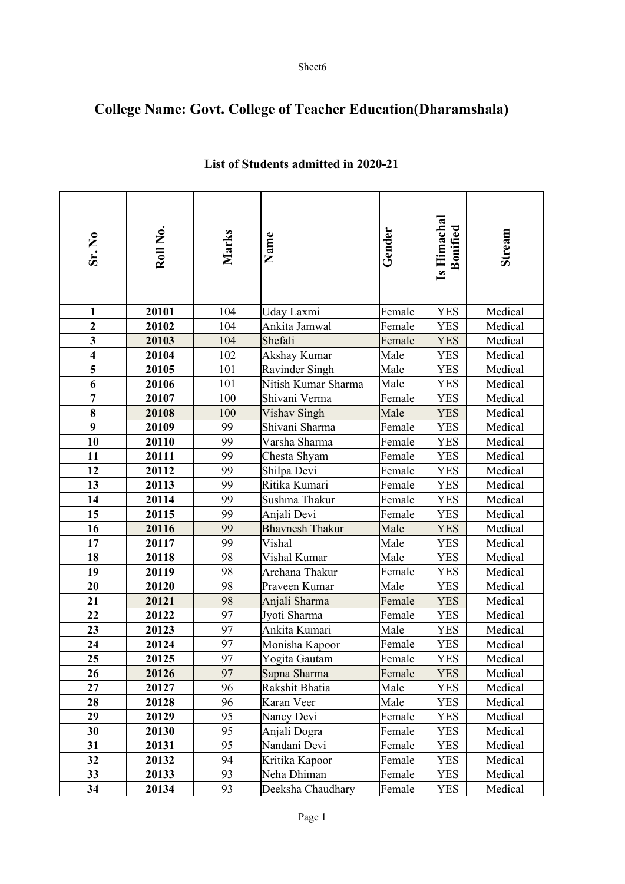## **College Name: Govt. College of Teacher Education(Dharamshala)**

| Sr. No                  | Roll No. | Marks | Name                   | Gender | Is Himachal<br><b>Bonified</b> | Stream  |
|-------------------------|----------|-------|------------------------|--------|--------------------------------|---------|
|                         |          |       |                        |        |                                |         |
| $\mathbf{1}$            | 20101    | 104   | Uday Laxmi             | Female | <b>YES</b>                     | Medical |
| $\boldsymbol{2}$        | 20102    | 104   | Ankita Jamwal          | Female | <b>YES</b>                     | Medical |
| $\overline{\mathbf{3}}$ | 20103    | 104   | Shefali                | Female | <b>YES</b>                     | Medical |
| $\overline{\mathbf{4}}$ | 20104    | 102   | Akshay Kumar           | Male   | <b>YES</b>                     | Medical |
| 5                       | 20105    | 101   | Ravinder Singh         | Male   | <b>YES</b>                     | Medical |
| 6                       | 20106    | 101   | Nitish Kumar Sharma    | Male   | <b>YES</b>                     | Medical |
| $\overline{7}$          | 20107    | 100   | Shivani Verma          | Female | <b>YES</b>                     | Medical |
| $\overline{\bf 8}$      | 20108    | 100   | Vishav Singh           | Male   | <b>YES</b>                     | Medical |
| 9                       | 20109    | 99    | Shivani Sharma         | Female | <b>YES</b>                     | Medical |
| 10                      | 20110    | 99    | Varsha Sharma          | Female | <b>YES</b>                     | Medical |
| 11                      | 20111    | 99    | Chesta Shyam           | Female | <b>YES</b>                     | Medical |
| 12                      | 20112    | 99    | Shilpa Devi            | Female | <b>YES</b>                     | Medical |
| 13                      | 20113    | 99    | Ritika Kumari          | Female | <b>YES</b>                     | Medical |
| 14                      | 20114    | 99    | Sushma Thakur          | Female | <b>YES</b>                     | Medical |
| 15                      | 20115    | 99    | Anjali Devi            | Female | <b>YES</b>                     | Medical |
| 16                      | 20116    | 99    | <b>Bhavnesh Thakur</b> | Male   | <b>YES</b>                     | Medical |
| 17                      | 20117    | 99    | Vishal                 | Male   | <b>YES</b>                     | Medical |
| 18                      | 20118    | 98    | Vishal Kumar           | Male   | <b>YES</b>                     | Medical |
| 19                      | 20119    | 98    | Archana Thakur         | Female | <b>YES</b>                     | Medical |
| 20                      | 20120    | 98    | Praveen Kumar          | Male   | <b>YES</b>                     | Medical |
| 21                      | 20121    | 98    | Anjali Sharma          | Female | <b>YES</b>                     | Medical |
| 22                      | 20122    | 97    | Jyoti Sharma           | Female | <b>YES</b>                     | Medical |
| 23                      | 20123    | 97    | Ankita Kumari          | Male   | <b>YES</b>                     | Medical |
| 24                      | 20124    | 97    | Monisha Kapoor         | Female | <b>YES</b>                     | Medical |
| 25                      | 20125    | 97    | Yogita Gautam          | Female | <b>YES</b>                     | Medical |
| 26                      | 20126    | 97    | Sapna Sharma           | Female | <b>YES</b>                     | Medical |
| 27                      | 20127    | 96    | Rakshit Bhatia         | Male   | <b>YES</b>                     | Medical |
| 28                      | 20128    | 96    | Karan Veer             | Male   | <b>YES</b>                     | Medical |
| 29                      | 20129    | 95    | Nancy Devi             | Female | <b>YES</b>                     | Medical |
| 30                      | 20130    | 95    | Anjali Dogra           | Female | <b>YES</b>                     | Medical |
| 31                      | 20131    | 95    | Nandani Devi           | Female | <b>YES</b>                     | Medical |
| 32                      | 20132    | 94    | Kritika Kapoor         | Female | <b>YES</b>                     | Medical |
| 33                      | 20133    | 93    | Neha Dhiman            | Female | <b>YES</b>                     | Medical |
| 34                      | 20134    | 93    | Deeksha Chaudhary      | Female | YES                            | Medical |

## **List of Students admitted in 2020-21**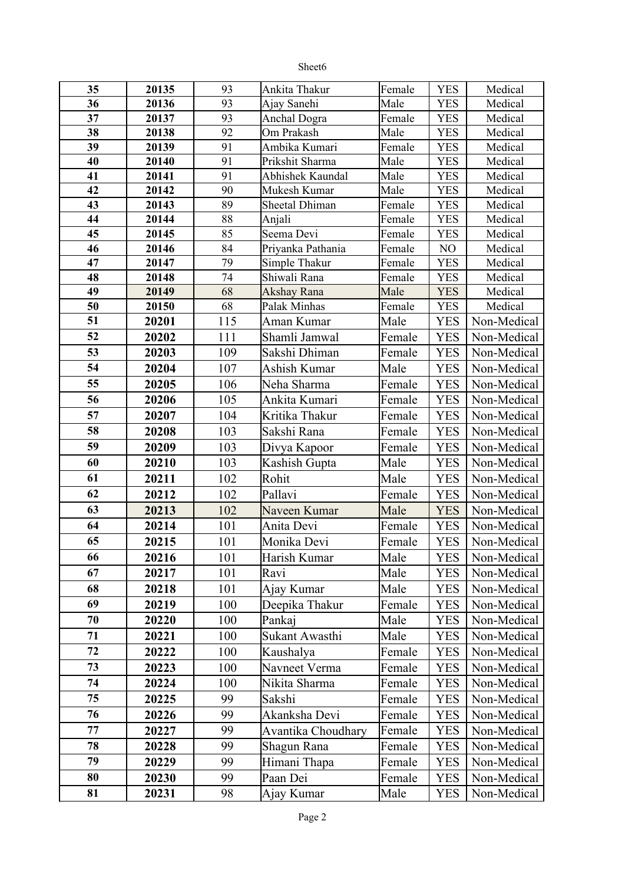| - 1<br>ıг<br>ı |
|----------------|
|----------------|

| 35 | 20135 | 93  | Ankita Thakur       | Female | <b>YES</b> | Medical     |
|----|-------|-----|---------------------|--------|------------|-------------|
| 36 | 20136 | 93  | Ajay Sanehi         | Male   | <b>YES</b> | Medical     |
| 37 | 20137 | 93  | <b>Anchal Dogra</b> | Female | <b>YES</b> | Medical     |
| 38 | 20138 | 92  | Om Prakash          | Male   | <b>YES</b> | Medical     |
| 39 | 20139 | 91  | Ambika Kumari       | Female | <b>YES</b> | Medical     |
| 40 | 20140 | 91  | Prikshit Sharma     | Male   | <b>YES</b> | Medical     |
| 41 | 20141 | 91  | Abhishek Kaundal    | Male   | <b>YES</b> | Medical     |
| 42 | 20142 | 90  | Mukesh Kumar        | Male   | <b>YES</b> | Medical     |
| 43 | 20143 | 89  | Sheetal Dhiman      | Female | <b>YES</b> | Medical     |
| 44 | 20144 | 88  | Anjali              | Female | <b>YES</b> | Medical     |
| 45 | 20145 | 85  | Seema Devi          | Female | <b>YES</b> | Medical     |
| 46 | 20146 | 84  | Priyanka Pathania   | Female | NO         | Medical     |
| 47 | 20147 | 79  | Simple Thakur       | Female | <b>YES</b> | Medical     |
| 48 | 20148 | 74  | Shiwali Rana        | Female | <b>YES</b> | Medical     |
| 49 | 20149 | 68  | Akshay Rana         | Male   | <b>YES</b> | Medical     |
| 50 | 20150 | 68  | Palak Minhas        | Female | <b>YES</b> | Medical     |
| 51 | 20201 | 115 | Aman Kumar          | Male   | <b>YES</b> | Non-Medical |
| 52 | 20202 | 111 | Shamli Jamwal       | Female | <b>YES</b> | Non-Medical |
| 53 | 20203 | 109 | Sakshi Dhiman       | Female | <b>YES</b> | Non-Medical |
| 54 | 20204 | 107 | Ashish Kumar        | Male   | <b>YES</b> | Non-Medical |
| 55 | 20205 | 106 | Neha Sharma         | Female | <b>YES</b> | Non-Medical |
| 56 | 20206 | 105 | Ankita Kumari       | Female | <b>YES</b> | Non-Medical |
| 57 | 20207 | 104 | Kritika Thakur      | Female | <b>YES</b> | Non-Medical |
| 58 | 20208 | 103 | Sakshi Rana         | Female | <b>YES</b> | Non-Medical |
| 59 | 20209 | 103 | Divya Kapoor        | Female | <b>YES</b> | Non-Medical |
| 60 | 20210 | 103 | Kashish Gupta       | Male   | <b>YES</b> | Non-Medical |
| 61 | 20211 | 102 | Rohit               | Male   | <b>YES</b> | Non-Medical |
| 62 |       |     |                     |        |            |             |
|    | 20212 | 102 | Pallavi             | Female | <b>YES</b> | Non-Medical |
| 63 | 20213 | 102 | Naveen Kumar        | Male   | <b>YES</b> | Non-Medical |
| 64 | 20214 | 101 | Anita Devi          | Female | <b>YES</b> | Non-Medical |
| 65 | 20215 | 101 | Monika Devi         | Female | <b>YES</b> | Non-Medical |
| 66 | 20216 | 101 | Harish Kumar        | Male   | <b>YES</b> | Non-Medical |
| 67 | 20217 | 101 | Ravi                | Male   | <b>YES</b> | Non-Medical |
| 68 | 20218 | 101 | Ajay Kumar          | Male   | <b>YES</b> | Non-Medical |
| 69 | 20219 | 100 | Deepika Thakur      | Female | <b>YES</b> | Non-Medical |
| 70 | 20220 | 100 | Pankaj              | Male   | <b>YES</b> | Non-Medical |
| 71 | 20221 | 100 | Sukant Awasthi      | Male   | <b>YES</b> | Non-Medical |
| 72 | 20222 | 100 | Kaushalya           | Female | <b>YES</b> | Non-Medical |
| 73 | 20223 | 100 | Navneet Verma       | Female | <b>YES</b> | Non-Medical |
| 74 | 20224 | 100 | Nikita Sharma       | Female | <b>YES</b> | Non-Medical |
| 75 | 20225 | 99  | Sakshi              | Female | <b>YES</b> | Non-Medical |
| 76 | 20226 | 99  | Akanksha Devi       | Female | YES        | Non-Medical |
| 77 |       | 99  | Avantika Choudhary  |        |            | Non-Medical |
|    | 20227 |     |                     | Female | <b>YES</b> |             |
| 78 | 20228 | 99  | Shagun Rana         | Female | <b>YES</b> | Non-Medical |
| 79 | 20229 | 99  | Himani Thapa        | Female | <b>YES</b> | Non-Medical |
| 80 | 20230 | 99  | Paan Dei            | Female | <b>YES</b> | Non-Medical |
| 81 | 20231 | 98  | Ajay Kumar          | Male   | <b>YES</b> | Non-Medical |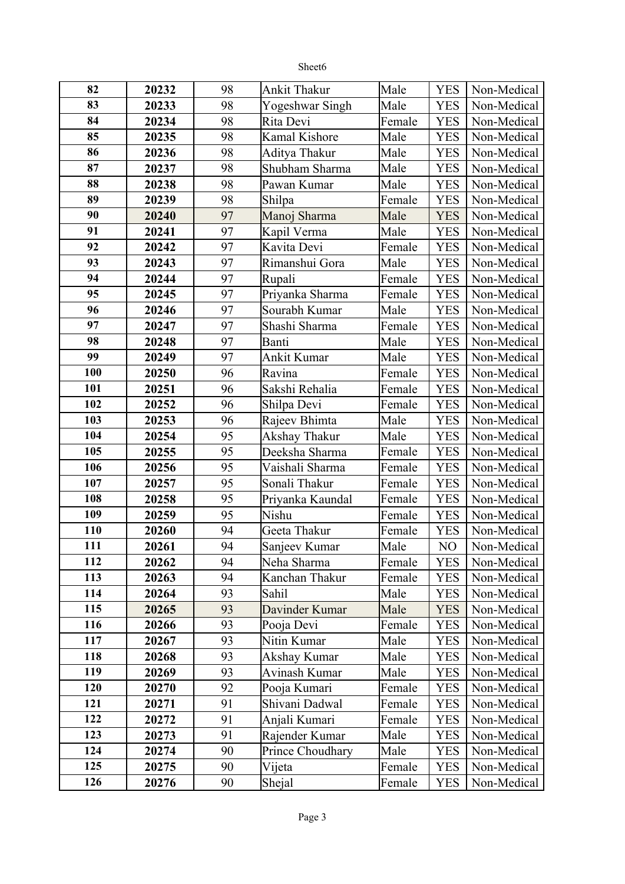| ٠ť<br>- 1<br>ı |
|----------------|
|----------------|

| 82  | 20232 | 98 | <b>Ankit Thakur</b>  | Male   | <b>YES</b> | Non-Medical |
|-----|-------|----|----------------------|--------|------------|-------------|
| 83  | 20233 | 98 | Yogeshwar Singh      | Male   | <b>YES</b> | Non-Medical |
| 84  | 20234 | 98 | Rita Devi            | Female | <b>YES</b> | Non-Medical |
| 85  | 20235 | 98 | <b>Kamal Kishore</b> | Male   | <b>YES</b> | Non-Medical |
| 86  | 20236 | 98 | Aditya Thakur        | Male   | <b>YES</b> | Non-Medical |
| 87  | 20237 | 98 | Shubham Sharma       | Male   | <b>YES</b> | Non-Medical |
| 88  | 20238 | 98 | Pawan Kumar          | Male   | <b>YES</b> | Non-Medical |
| 89  | 20239 | 98 | Shilpa               | Female | <b>YES</b> | Non-Medical |
| 90  | 20240 | 97 | Manoj Sharma         | Male   | <b>YES</b> | Non-Medical |
| 91  | 20241 | 97 | Kapil Verma          | Male   | <b>YES</b> | Non-Medical |
| 92  | 20242 | 97 | Kavita Devi          | Female | <b>YES</b> | Non-Medical |
| 93  | 20243 | 97 | Rimanshui Gora       | Male   | <b>YES</b> | Non-Medical |
| 94  | 20244 | 97 | Rupali               | Female | <b>YES</b> | Non-Medical |
| 95  | 20245 | 97 | Priyanka Sharma      | Female | <b>YES</b> | Non-Medical |
| 96  | 20246 | 97 | Sourabh Kumar        | Male   | <b>YES</b> | Non-Medical |
| 97  | 20247 | 97 | Shashi Sharma        | Female | <b>YES</b> | Non-Medical |
| 98  | 20248 | 97 | Banti                | Male   | <b>YES</b> | Non-Medical |
| 99  | 20249 | 97 | Ankit Kumar          | Male   | <b>YES</b> | Non-Medical |
| 100 | 20250 | 96 | Ravina               | Female | <b>YES</b> | Non-Medical |
| 101 | 20251 | 96 | Sakshi Rehalia       | Female | <b>YES</b> | Non-Medical |
| 102 | 20252 | 96 | Shilpa Devi          | Female | <b>YES</b> | Non-Medical |
| 103 | 20253 | 96 | Rajeev Bhimta        | Male   | <b>YES</b> | Non-Medical |
| 104 | 20254 | 95 | Akshay Thakur        | Male   | <b>YES</b> | Non-Medical |
| 105 | 20255 | 95 | Deeksha Sharma       | Female | <b>YES</b> | Non-Medical |
| 106 | 20256 | 95 | Vaishali Sharma      | Female | <b>YES</b> | Non-Medical |
| 107 | 20257 | 95 | Sonali Thakur        | Female | <b>YES</b> | Non-Medical |
| 108 | 20258 | 95 | Priyanka Kaundal     | Female | <b>YES</b> | Non-Medical |
| 109 | 20259 | 95 | Nishu                | Female | <b>YES</b> | Non-Medical |
| 110 | 20260 | 94 | Geeta Thakur         | Female | <b>YES</b> | Non-Medical |
| 111 | 20261 | 94 | Sanjeev Kumar        | Male   | NO         | Non-Medical |
| 112 | 20262 | 94 | Neha Sharma          | Female | <b>YES</b> | Non-Medical |
| 113 | 20263 | 94 | Kanchan Thakur       | Female | <b>YES</b> | Non-Medical |
| 114 | 20264 | 93 | Sahil                | Male   | <b>YES</b> | Non-Medical |
| 115 | 20265 | 93 | Davinder Kumar       | Male   | <b>YES</b> | Non-Medical |
| 116 | 20266 | 93 | Pooja Devi           | Female | <b>YES</b> | Non-Medical |
| 117 | 20267 | 93 | Nitin Kumar          | Male   | <b>YES</b> | Non-Medical |
| 118 | 20268 | 93 | Akshay Kumar         | Male   | <b>YES</b> | Non-Medical |
| 119 | 20269 | 93 | Avinash Kumar        | Male   | <b>YES</b> | Non-Medical |
| 120 | 20270 | 92 | Pooja Kumari         | Female | <b>YES</b> | Non-Medical |
| 121 | 20271 | 91 | Shivani Dadwal       | Female | <b>YES</b> | Non-Medical |
| 122 | 20272 | 91 | Anjali Kumari        | Female | <b>YES</b> | Non-Medical |
| 123 | 20273 | 91 | Rajender Kumar       | Male   | <b>YES</b> | Non-Medical |
| 124 | 20274 | 90 | Prince Choudhary     | Male   | <b>YES</b> | Non-Medical |
| 125 | 20275 | 90 | Vijeta               | Female | <b>YES</b> | Non-Medical |
| 126 | 20276 | 90 | Shejal               | Female | <b>YES</b> | Non-Medical |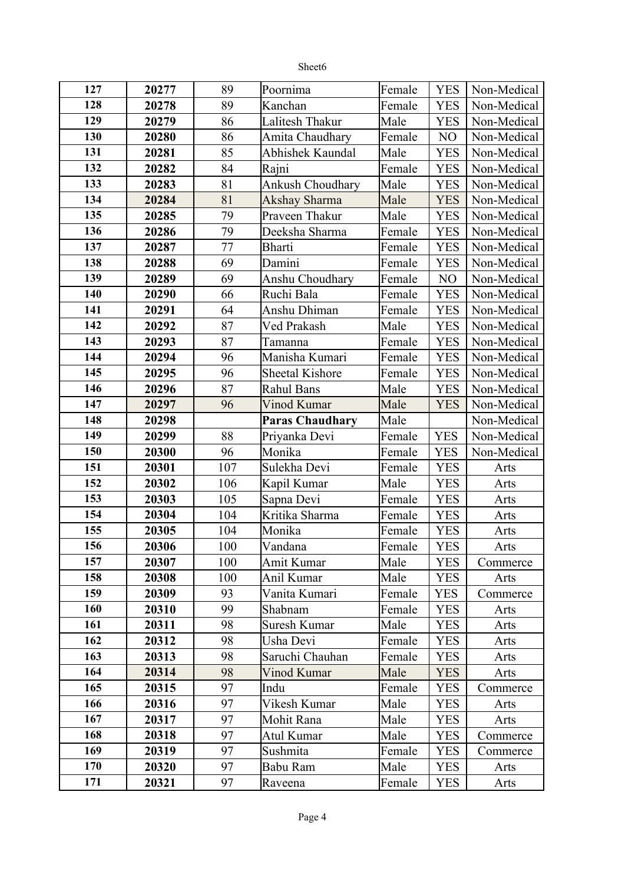| n<br>ıc<br>cı. |
|----------------|
|----------------|

| 127 | 20277 | 89  | Poornima               | Female | <b>YES</b> | Non-Medical |
|-----|-------|-----|------------------------|--------|------------|-------------|
| 128 | 20278 | 89  | Kanchan                | Female | <b>YES</b> | Non-Medical |
| 129 | 20279 | 86  | Lalitesh Thakur        | Male   | <b>YES</b> | Non-Medical |
| 130 | 20280 | 86  | Amita Chaudhary        | Female | NO         | Non-Medical |
| 131 | 20281 | 85  | Abhishek Kaundal       | Male   | <b>YES</b> | Non-Medical |
| 132 | 20282 | 84  | Rajni                  | Female | <b>YES</b> | Non-Medical |
| 133 | 20283 | 81  | Ankush Choudhary       | Male   | <b>YES</b> | Non-Medical |
| 134 | 20284 | 81  | Akshay Sharma          | Male   | <b>YES</b> | Non-Medical |
| 135 | 20285 | 79  | Praveen Thakur         | Male   | <b>YES</b> | Non-Medical |
| 136 | 20286 | 79  | Deeksha Sharma         | Female | <b>YES</b> | Non-Medical |
| 137 | 20287 | 77  | Bharti                 | Female | <b>YES</b> | Non-Medical |
| 138 | 20288 | 69  | Damini                 | Female | <b>YES</b> | Non-Medical |
| 139 | 20289 | 69  | Anshu Choudhary        | Female | NO         | Non-Medical |
| 140 | 20290 | 66  | Ruchi Bala             | Female | <b>YES</b> | Non-Medical |
| 141 | 20291 | 64  | Anshu Dhiman           | Female | <b>YES</b> | Non-Medical |
| 142 | 20292 | 87  | Ved Prakash            | Male   | <b>YES</b> | Non-Medical |
| 143 | 20293 | 87  | Tamanna                | Female | <b>YES</b> | Non-Medical |
| 144 | 20294 | 96  | Manisha Kumari         | Female | <b>YES</b> | Non-Medical |
| 145 | 20295 | 96  | <b>Sheetal Kishore</b> | Female | <b>YES</b> | Non-Medical |
| 146 | 20296 | 87  | <b>Rahul Bans</b>      | Male   | <b>YES</b> | Non-Medical |
| 147 | 20297 | 96  | Vinod Kumar            | Male   | <b>YES</b> | Non-Medical |
| 148 | 20298 |     | <b>Paras Chaudhary</b> | Male   |            | Non-Medical |
| 149 | 20299 | 88  | Priyanka Devi          | Female | <b>YES</b> | Non-Medical |
| 150 | 20300 | 96  | Monika                 | Female | <b>YES</b> | Non-Medical |
| 151 | 20301 | 107 | Sulekha Devi           | Female | <b>YES</b> | Arts        |
| 152 | 20302 | 106 | Kapil Kumar            | Male   | <b>YES</b> | Arts        |
| 153 | 20303 | 105 | Sapna Devi             | Female | <b>YES</b> | Arts        |
| 154 | 20304 | 104 | Kritika Sharma         | Female | <b>YES</b> | Arts        |
| 155 | 20305 | 104 | Monika                 | Female | <b>YES</b> | Arts        |
| 156 | 20306 | 100 | Vandana                | Female | <b>YES</b> | Arts        |
| 157 | 20307 | 100 | Amit Kumar             | Male   | <b>YES</b> | Commerce    |
| 158 | 20308 | 100 | Anil Kumar             | Male   | <b>YES</b> | Arts        |
| 159 | 20309 | 93  | Vanita Kumari          | Female | <b>YES</b> | Commerce    |
| 160 | 20310 | 99  | Shabnam                | Female | <b>YES</b> | Arts        |
| 161 | 20311 | 98  | Suresh Kumar           | Male   | <b>YES</b> | Arts        |
| 162 | 20312 | 98  | Usha Devi              | Female | <b>YES</b> | Arts        |
| 163 | 20313 | 98  | Saruchi Chauhan        | Female | <b>YES</b> | Arts        |
| 164 | 20314 | 98  | Vinod Kumar            | Male   | <b>YES</b> | Arts        |
| 165 | 20315 | 97  | Indu                   | Female | <b>YES</b> | Commerce    |
| 166 | 20316 | 97  | Vikesh Kumar           | Male   | <b>YES</b> | Arts        |
| 167 | 20317 | 97  | Mohit Rana             | Male   | <b>YES</b> | Arts        |
| 168 | 20318 | 97  | Atul Kumar             | Male   | <b>YES</b> | Commerce    |
|     |       |     |                        |        |            |             |
| 169 | 20319 | 97  | Sushmita               | Female | <b>YES</b> | Commerce    |
| 170 | 20320 | 97  | Babu Ram               | Male   | <b>YES</b> | Arts        |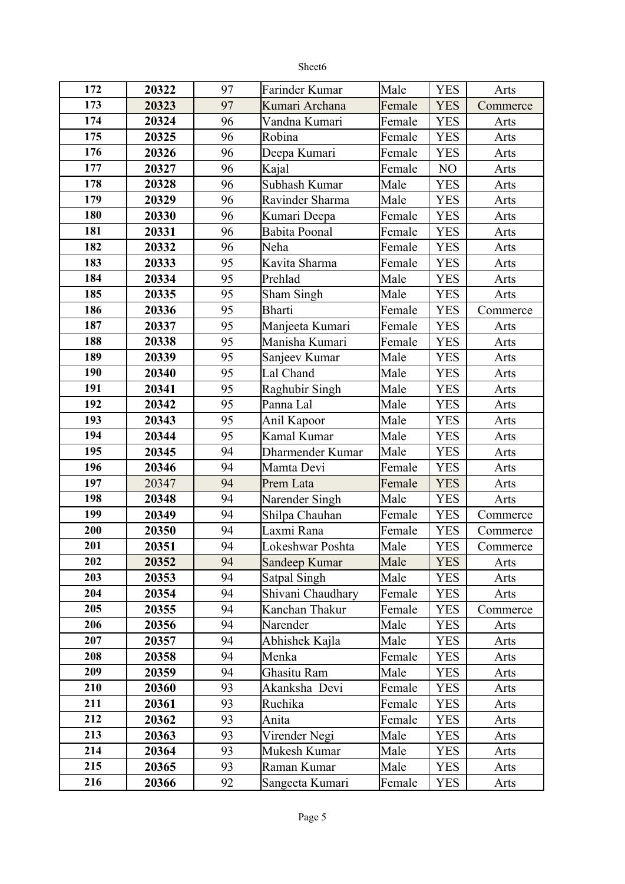|     |       |    | Sheet6               |        |            |          |
|-----|-------|----|----------------------|--------|------------|----------|
| 172 | 20322 | 97 | Farinder Kumar       | Male   | <b>YES</b> | Arts     |
| 173 | 20323 | 97 | Kumari Archana       | Female | <b>YES</b> | Commerce |
| 174 | 20324 | 96 | Vandna Kumari        | Female | <b>YES</b> | Arts     |
| 175 | 20325 | 96 | Robina               | Female | <b>YES</b> | Arts     |
| 176 | 20326 | 96 | Deepa Kumari         | Female | <b>YES</b> | Arts     |
| 177 | 20327 | 96 | Kajal                | Female | NO         | Arts     |
| 178 | 20328 | 96 | Subhash Kumar        | Male   | <b>YES</b> | Arts     |
| 179 | 20329 | 96 | Ravinder Sharma      | Male   | <b>YES</b> | Arts     |
| 180 | 20330 | 96 | Kumari Deepa         | Female | <b>YES</b> | Arts     |
| 181 | 20331 | 96 | <b>Babita Poonal</b> | Female | <b>YES</b> | Arts     |
| 182 | 20332 | 96 | Neha                 | Female | <b>YES</b> | Arts     |
| 183 | 20333 | 95 | Kavita Sharma        | Female | <b>YES</b> | Arts     |
| 184 | 20334 | 95 | Prehlad              | Male   | <b>YES</b> | Arts     |
| 185 | 20335 | 95 | Sham Singh           | Male   | <b>YES</b> | Arts     |
| 186 | 20336 | 95 | <b>Bharti</b>        | Female | <b>YES</b> | Commerce |
| 187 | 20337 | 95 | Manjeeta Kumari      | Female | <b>YES</b> | Arts     |
| 188 | 20338 | 95 | Manisha Kumari       | Female | <b>YES</b> | Arts     |
| 189 | 20339 | 95 | Sanjeev Kumar        | Male   | <b>YES</b> | Arts     |
| 190 | 20340 | 95 | Lal Chand            | Male   | <b>YES</b> | Arts     |
| 191 | 20341 | 95 | Raghubir Singh       | Male   | <b>YES</b> | Arts     |
| 192 | 20342 | 95 | Panna Lal            | Male   | <b>YES</b> | Arts     |
| 193 | 20343 | 95 | Anil Kapoor          | Male   | <b>YES</b> | Arts     |
| 194 | 20344 | 95 | Kamal Kumar          | Male   | <b>YES</b> | Arts     |
| 195 | 20345 | 94 | Dharmender Kumar     | Male   | <b>YES</b> | Arts     |
| 196 | 20346 | 94 | Mamta Devi           | Female | <b>YES</b> | Arts     |
| 197 | 20347 | 94 | Prem Lata            | Female | <b>YES</b> | Arts     |
| 198 | 20348 | 94 | Narender Singh       | Male   | <b>YES</b> | Arts     |
| 199 | 20349 | 94 | Shilpa Chauhan       | Female | <b>YES</b> | Commerce |
| 200 | 20350 | 94 | Laxmi Rana           | Female | <b>YES</b> | Commerce |
| 201 | 20351 | 94 | Lokeshwar Poshta     | Male   | <b>YES</b> | Commerce |
| 202 | 20352 | 94 | Sandeep Kumar        | Male   | <b>YES</b> | Arts     |
| 203 | 20353 | 94 | Satpal Singh         | Male   | <b>YES</b> | Arts     |
| 204 | 20354 | 94 | Shivani Chaudhary    | Female | <b>YES</b> | Arts     |
| 205 | 20355 | 94 | Kanchan Thakur       | Female | <b>YES</b> | Commerce |
| 206 | 20356 | 94 | Narender             | Male   | <b>YES</b> | Arts     |
| 207 | 20357 | 94 | Abhishek Kajla       | Male   | <b>YES</b> | Arts     |
| 208 | 20358 | 94 | Menka                | Female | <b>YES</b> | Arts     |
| 209 | 20359 | 94 | Ghasitu Ram          | Male   | <b>YES</b> | Arts     |
| 210 | 20360 | 93 | Akanksha Devi        | Female | <b>YES</b> | Arts     |
| 211 | 20361 | 93 | Ruchika              | Female | <b>YES</b> | Arts     |
| 212 | 20362 | 93 | Anita                | Female | <b>YES</b> | Arts     |
| 213 | 20363 | 93 | Virender Negi        | Male   | <b>YES</b> | Arts     |
| 214 | 20364 | 93 | Mukesh Kumar         | Male   | <b>YES</b> | Arts     |
| 215 | 20365 | 93 | Raman Kumar          | Male   | <b>YES</b> | Arts     |
| 216 | 20366 | 92 | Sangeeta Kumari      | Female | <b>YES</b> | Arts     |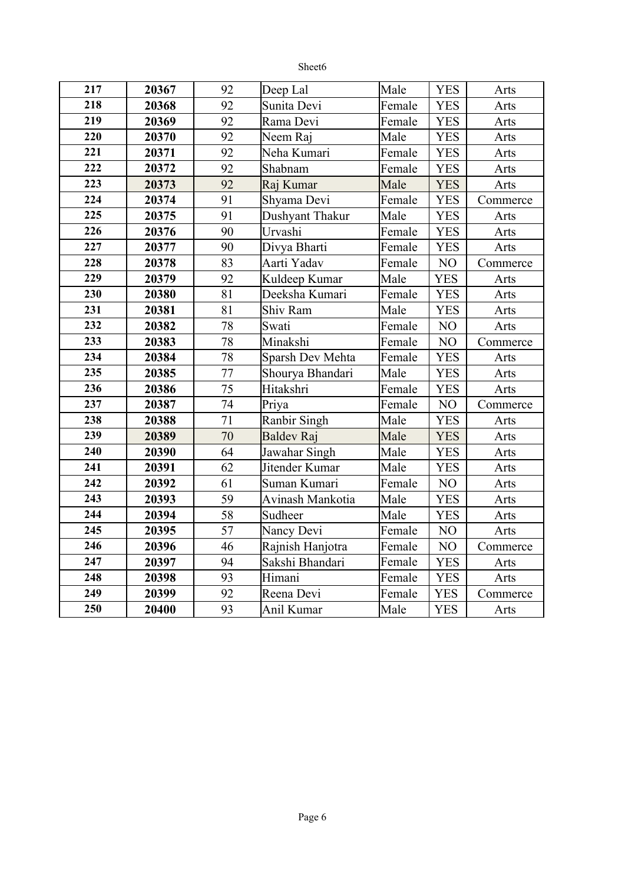| 217 | 20367 | 92              | Deep Lal          | Male   | <b>YES</b>     | Arts     |
|-----|-------|-----------------|-------------------|--------|----------------|----------|
| 218 | 20368 | 92              | Sunita Devi       | Female | <b>YES</b>     | Arts     |
| 219 | 20369 | 92              | Rama Devi         | Female | <b>YES</b>     | Arts     |
| 220 | 20370 | 92              | Neem Raj          | Male   | <b>YES</b>     | Arts     |
| 221 | 20371 | 92              | Neha Kumari       | Female | <b>YES</b>     | Arts     |
| 222 | 20372 | 92              | Shabnam           | Female | <b>YES</b>     | Arts     |
| 223 | 20373 | 92              | Raj Kumar         | Male   | <b>YES</b>     | Arts     |
| 224 | 20374 | 91              | Shyama Devi       | Female | <b>YES</b>     | Commerce |
| 225 | 20375 | 91              | Dushyant Thakur   | Male   | <b>YES</b>     | Arts     |
| 226 | 20376 | 90              | Urvashi           | Female | <b>YES</b>     | Arts     |
| 227 | 20377 | 90              | Divya Bharti      | Female | <b>YES</b>     | Arts     |
| 228 | 20378 | 83              | Aarti Yadav       | Female | N <sub>O</sub> | Commerce |
| 229 | 20379 | 92              | Kuldeep Kumar     | Male   | <b>YES</b>     | Arts     |
| 230 | 20380 | 81              | Deeksha Kumari    | Female | <b>YES</b>     | Arts     |
| 231 | 20381 | 81              | Shiv Ram          | Male   | <b>YES</b>     | Arts     |
| 232 | 20382 | 78              | Swati             | Female | NO             | Arts     |
| 233 | 20383 | 78              | Minakshi          | Female | NO             | Commerce |
| 234 | 20384 | 78              | Sparsh Dev Mehta  | Female | <b>YES</b>     | Arts     |
| 235 | 20385 | 77              | Shourya Bhandari  | Male   | <b>YES</b>     | Arts     |
| 236 | 20386 | 75              | Hitakshri         | Female | <b>YES</b>     | Arts     |
| 237 | 20387 | 74              | Priya             | Female | NO             | Commerce |
| 238 | 20388 | 71              | Ranbir Singh      | Male   | <b>YES</b>     | Arts     |
| 239 | 20389 | $\overline{70}$ | <b>Baldev Raj</b> | Male   | <b>YES</b>     | Arts     |
| 240 | 20390 | 64              | Jawahar Singh     | Male   | <b>YES</b>     | Arts     |
| 241 | 20391 | 62              | Jitender Kumar    | Male   | <b>YES</b>     | Arts     |
| 242 | 20392 | 61              | Suman Kumari      | Female | NO             | Arts     |
| 243 | 20393 | 59              | Avinash Mankotia  | Male   | <b>YES</b>     | Arts     |
| 244 | 20394 | 58              | Sudheer           | Male   | <b>YES</b>     | Arts     |
| 245 | 20395 | 57              | Nancy Devi        | Female | NO             | Arts     |
| 246 | 20396 | 46              | Rajnish Hanjotra  | Female | NO             | Commerce |
| 247 | 20397 | 94              | Sakshi Bhandari   | Female | <b>YES</b>     | Arts     |
| 248 | 20398 | 93              | Himani            | Female | <b>YES</b>     | Arts     |
| 249 | 20399 | 92              | Reena Devi        | Female | <b>YES</b>     | Commerce |
| 250 | 20400 | 93              | Anil Kumar        | Male   | <b>YES</b>     | Arts     |